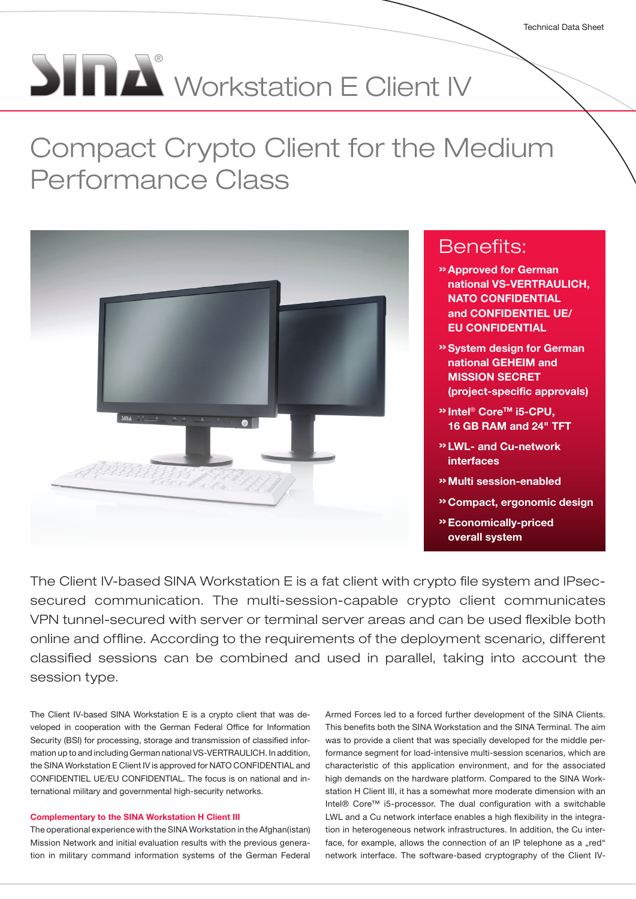# **SINA** Workstation E Client IV

# Compact Crypto Client for the Medium Performance Class



## Benefits:

- »Approved for German national VS-VERTRAULICH, NATO CONFIDENTIAL and CONFIDENTIEL UE/ EU CONFIDENTIAL
- »System design for German national GEHEIM and MISSION SECRET (project-specific approvals)
- <sup>»</sup> Intel<sup>®</sup> Core™ i5-CPU, 16 GB RAM and 24" TFT
- »LWL- and Cu-network interfaces
- »Multi session-enabled
- »Compact, ergonomic design
- »Economically-priced overall system

The Client IV-based SINA Workstation E is a fat client with crypto file system and IPsecsecured communication. The multi-session-capable crypto client communicates VPN tunnel-secured with server or terminal server areas and can be used flexible both online and offline. According to the requirements of the deployment scenario, different classified sessions can be combined and used in parallel, taking into account the session type.

The Client IV-based SINA Workstation E is a crypto client that was developed in cooperation with the German Federal Office for Information Security (BSI) for processing, storage and transmission of classified information up to and including German national VS-VERTRAULICH. In addition, the SINA Workstation E Client IV is approved for NATO CONFIDENTIAL and CONFIDENTIEL UE/EU CONFIDENTIAL. The focus is on national and international military and governmental high-security networks.

#### Complementary to the SINA Workstation H Client III

The operational experience with the SINA Workstation in the Afghan(istan) Mission Network and initial evaluation results with the previous generation in military command information systems of the German Federal

Armed Forces led to a forced further development of the SINA Clients. This benefits both the SINA Workstation and the SINA Terminal. The aim was to provide a client that was specially developed for the middle performance segment for load-intensive multi-session scenarios, which are characteristic of this application environment, and for the associated high demands on the hardware platform. Compared to the SINA Workstation H Client III, it has a somewhat more moderate dimension with an Intel® Core™ i5-processor. The dual configuration with a switchable LWL and a Cu network interface enables a high flexibility in the integration in heterogeneous network infrastructures. In addition, the Cu interface, for example, allows the connection of an IP telephone as a "red" network interface. The software-based cryptography of the Client IV-